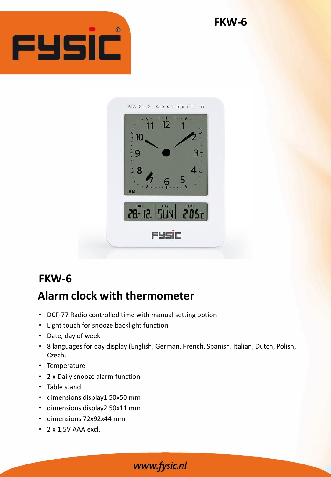



## **FKW-6**

## **Alarm clock with thermometer**

- DCF-77 Radio controlled time with manual setting option
- Light touch for snooze backlight function
- Date, day of week
- 8 languages for day display (English, German, French, Spanish, Italian, Dutch, Polish, Czech.
- Temperature
- 2 x Daily snooze alarm function
- Table stand
- dimensions display1 50x50 mm
- dimensions display2 50x11 mm
- dimensions 72x92x44 mm
- 2 x 1,5V AAA excl.

www.fysic.nl